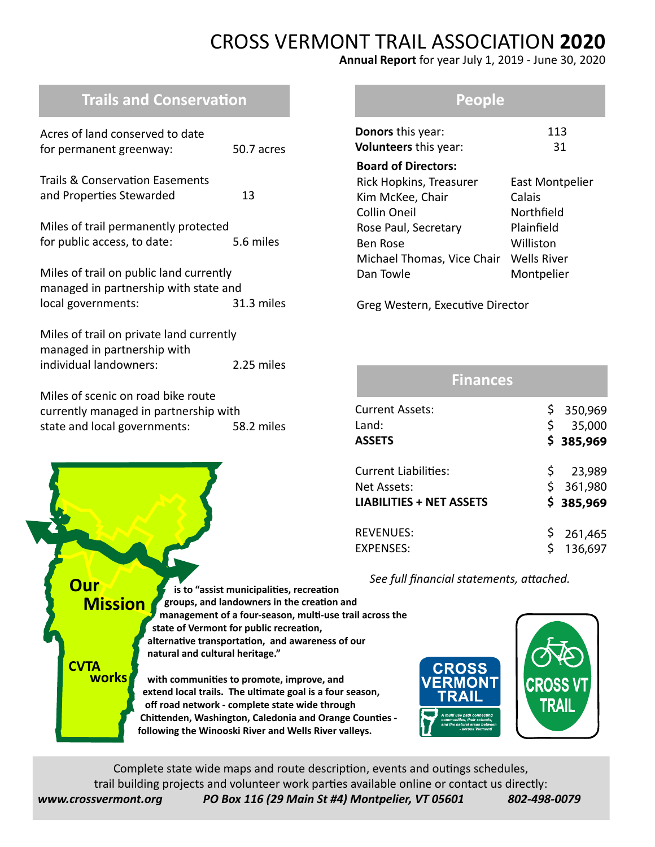# CROSS VERMONT TRAIL ASSOCIATION **2020**

**Annual Report** for year July 1, 2019 - June 30, 2020

# **Trails and Conservation**

| Acres of land conserved to date<br>for permanent greenway:                                                           | 50.7 acres |  |
|----------------------------------------------------------------------------------------------------------------------|------------|--|
| Trails & Conservation Easements<br>and Properties Stewarded                                                          | 13         |  |
| Miles of trail permanently protected<br>for public access, to date:                                                  | 5.6 miles  |  |
| Miles of trail on public land currently<br>managed in partnership with state and<br>local governments:<br>31.3 miles |            |  |
| Miles of trail on private land currently<br>managed in partnership with<br>individual landowners:<br>2.25 miles      |            |  |
| Miles of scenic on road bike route<br>currently managed in partnership with<br>state and local governments:          | 58.2 miles |  |

### **People**

| <b>Donors</b> this year:   | 113                    |
|----------------------------|------------------------|
| Volunteers this year:      | 31                     |
| <b>Board of Directors:</b> |                        |
| Rick Hopkins, Treasurer    | <b>East Montpelier</b> |
| Kim McKee, Chair           | Calais                 |
| <b>Collin Oneil</b>        | Northfield             |
| Rose Paul, Secretary       | Plainfield             |
| <b>Ben Rose</b>            | Williston              |
| Michael Thomas, Vice Chair | <b>Wells River</b>     |
| Dan Towle                  | Montpelier             |
|                            |                        |

Greg Western, Executive Director

| <b>Finances</b>                    |                |                   |
|------------------------------------|----------------|-------------------|
| <b>Current Assets:</b><br>$L$ and: | \$.<br>\$      | 350,969<br>35,000 |
| <b>ASSETS</b>                      |                | \$385,969         |
| Current Liabilities:               | $\ddot{\zeta}$ | 23,989            |
| Net Assets:                        |                | \$361,980         |
| <b>LIABILITIES + NET ASSETS</b>    |                | \$385,969         |
| <b>REVENUES:</b>                   |                | 261,465           |
| <b>EXPENSES:</b>                   | Ś              | 136,697           |

 *See full financial statements, attached.*



Complete state wide maps and route description, events and outings schedules, trail building projects and volunteer work parties available online or contact us directly: *www.crossvermont.org PO Box 116 (29 Main St #4) Montpelier, VT 05601 802-498-0079*

**Our Mission**

**CVTA works**

 **is to "assist municipalities, recreation groups, and landowners in the creation and management of a four-season, multi-use trail across the state of Vermont for public recreation, alternative transportation, and awareness of our natural and cultural heritage."**

 **with communities to promote, improve, and extend local trails. The ultimate goal is a four season, off road network - complete state wide through Chittenden, Washington, Caledonia and Orange Counties following the Winooski River and Wells River valleys.**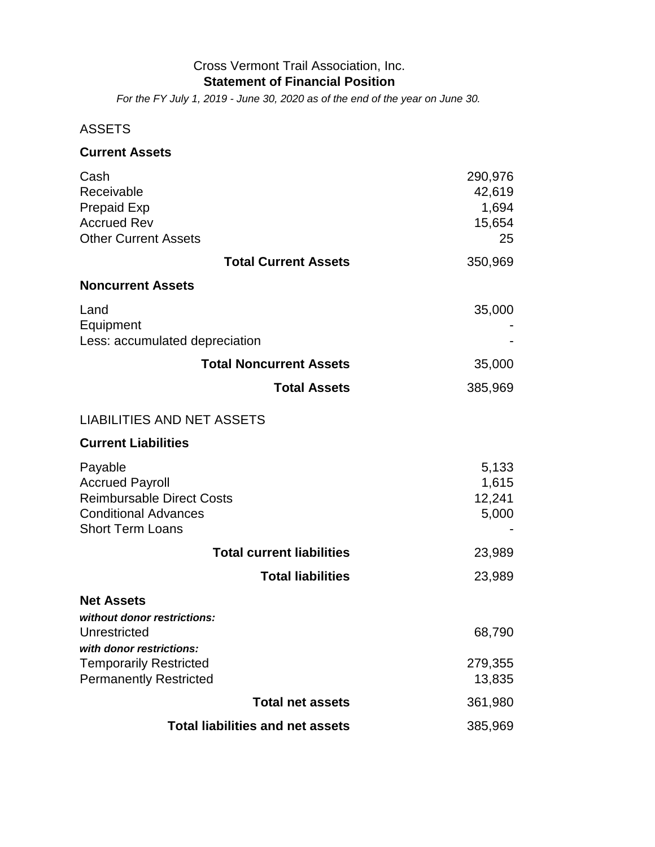#### Cross Vermont Trail Association, Inc. **Statement of Financial Position**

*For the FY July 1, 2019 - June 30, 2020 as of the end of the year on June 30.*

### ASSETS

| <b>Current Assets</b>                                                                                                           |                                            |
|---------------------------------------------------------------------------------------------------------------------------------|--------------------------------------------|
| Cash<br>Receivable<br><b>Prepaid Exp</b><br><b>Accrued Rev</b><br><b>Other Current Assets</b>                                   | 290,976<br>42,619<br>1,694<br>15,654<br>25 |
| <b>Total Current Assets</b>                                                                                                     | 350,969                                    |
| <b>Noncurrent Assets</b>                                                                                                        |                                            |
| Land<br>Equipment<br>Less: accumulated depreciation                                                                             | 35,000                                     |
| <b>Total Noncurrent Assets</b>                                                                                                  | 35,000                                     |
| <b>Total Assets</b>                                                                                                             | 385,969                                    |
| <b>LIABILITIES AND NET ASSETS</b>                                                                                               |                                            |
| <b>Current Liabilities</b>                                                                                                      |                                            |
| Payable<br><b>Accrued Payroll</b><br><b>Reimbursable Direct Costs</b><br><b>Conditional Advances</b><br><b>Short Term Loans</b> | 5,133<br>1,615<br>12,241<br>5,000          |
| <b>Total current liabilities</b>                                                                                                | 23,989                                     |
| <b>Total liabilities</b>                                                                                                        | 23,989                                     |
| <b>Net Assets</b><br>without donor restrictions:                                                                                |                                            |
| Unrestricted<br>with donor restrictions:                                                                                        | 68,790                                     |
| <b>Temporarily Restricted</b><br><b>Permanently Restricted</b>                                                                  | 279,355<br>13,835                          |
| <b>Total net assets</b>                                                                                                         | 361,980                                    |
| <b>Total liabilities and net assets</b>                                                                                         | 385,969                                    |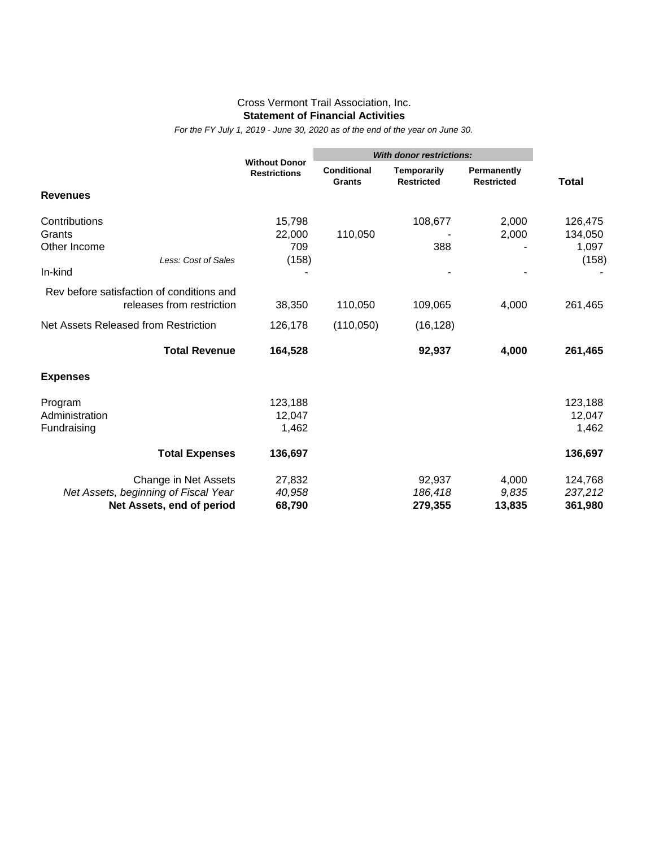#### Cross Vermont Trail Association, Inc. **Statement of Financial Activities**

*For the FY July 1, 2019 - June 30, 2020 as of the end of the year on June 30.*

|                                           | <b>Without Donor</b><br><b>Restrictions</b> | <b>With donor restrictions:</b>     |                                         |                                  |              |  |  |  |  |
|-------------------------------------------|---------------------------------------------|-------------------------------------|-----------------------------------------|----------------------------------|--------------|--|--|--|--|
|                                           |                                             | <b>Conditional</b><br><b>Grants</b> | <b>Temporarily</b><br><b>Restricted</b> | Permanently<br><b>Restricted</b> | <b>Total</b> |  |  |  |  |
| <b>Revenues</b>                           |                                             |                                     |                                         |                                  |              |  |  |  |  |
| Contributions                             | 15,798                                      |                                     | 108,677                                 | 2,000                            | 126,475      |  |  |  |  |
| Grants                                    | 22,000                                      | 110,050                             |                                         | 2,000                            | 134,050      |  |  |  |  |
| Other Income                              | 709                                         |                                     | 388                                     |                                  | 1,097        |  |  |  |  |
| Less: Cost of Sales                       | (158)                                       |                                     |                                         |                                  | (158)        |  |  |  |  |
| In-kind                                   |                                             |                                     |                                         |                                  |              |  |  |  |  |
| Rev before satisfaction of conditions and |                                             |                                     |                                         |                                  |              |  |  |  |  |
| releases from restriction                 | 38,350                                      | 110,050                             | 109,065                                 | 4,000                            | 261,465      |  |  |  |  |
| Net Assets Released from Restriction      | 126,178                                     | (110,050)                           | (16, 128)                               |                                  |              |  |  |  |  |
| <b>Total Revenue</b>                      | 164,528                                     |                                     | 92,937                                  | 4,000                            | 261,465      |  |  |  |  |
| <b>Expenses</b>                           |                                             |                                     |                                         |                                  |              |  |  |  |  |
| Program                                   | 123,188                                     |                                     |                                         |                                  | 123,188      |  |  |  |  |
| Administration                            | 12,047                                      |                                     |                                         |                                  | 12,047       |  |  |  |  |
| Fundraising                               | 1,462                                       |                                     |                                         |                                  | 1,462        |  |  |  |  |
| <b>Total Expenses</b>                     | 136,697                                     |                                     |                                         |                                  | 136,697      |  |  |  |  |
| Change in Net Assets                      | 27,832                                      |                                     | 92,937                                  | 4,000                            | 124,768      |  |  |  |  |
| Net Assets, beginning of Fiscal Year      | 40,958                                      |                                     | 186,418                                 | 9,835                            | 237,212      |  |  |  |  |
| Net Assets, end of period                 | 68,790                                      |                                     | 279,355                                 | 13,835                           | 361,980      |  |  |  |  |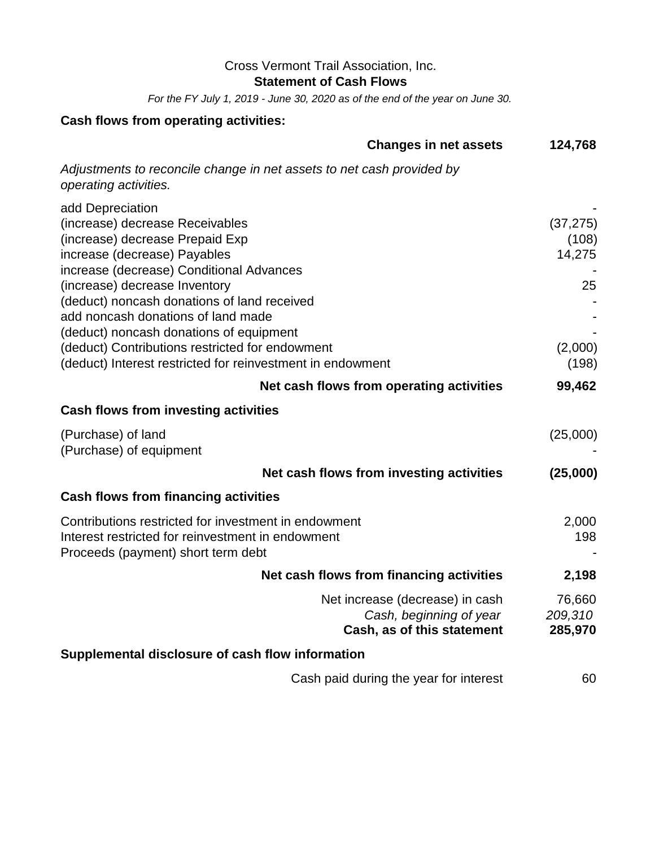## Cross Vermont Trail Association, Inc.

**Statement of Cash Flows**

*For the FY July 1, 2019 - June 30, 2020 as of the end of the year on June 30.*

## **Cash flows from operating activities:**

| <b>Changes in net assets</b>                                                                                                                                                                                                                                                                                                                                                                                                                         | 124,768                                                |  |  |
|------------------------------------------------------------------------------------------------------------------------------------------------------------------------------------------------------------------------------------------------------------------------------------------------------------------------------------------------------------------------------------------------------------------------------------------------------|--------------------------------------------------------|--|--|
| Adjustments to reconcile change in net assets to net cash provided by<br>operating activities.                                                                                                                                                                                                                                                                                                                                                       |                                                        |  |  |
| add Depreciation<br>(increase) decrease Receivables<br>(increase) decrease Prepaid Exp<br>increase (decrease) Payables<br>increase (decrease) Conditional Advances<br>(increase) decrease Inventory<br>(deduct) noncash donations of land received<br>add noncash donations of land made<br>(deduct) noncash donations of equipment<br>(deduct) Contributions restricted for endowment<br>(deduct) Interest restricted for reinvestment in endowment | (37, 275)<br>(108)<br>14,275<br>25<br>(2,000)<br>(198) |  |  |
| Net cash flows from operating activities                                                                                                                                                                                                                                                                                                                                                                                                             | 99,462                                                 |  |  |
| <b>Cash flows from investing activities</b>                                                                                                                                                                                                                                                                                                                                                                                                          |                                                        |  |  |
| (Purchase) of land<br>(Purchase) of equipment                                                                                                                                                                                                                                                                                                                                                                                                        | (25,000)                                               |  |  |
| Net cash flows from investing activities                                                                                                                                                                                                                                                                                                                                                                                                             | (25,000)                                               |  |  |
| <b>Cash flows from financing activities</b>                                                                                                                                                                                                                                                                                                                                                                                                          |                                                        |  |  |
| Contributions restricted for investment in endowment<br>Interest restricted for reinvestment in endowment<br>Proceeds (payment) short term debt                                                                                                                                                                                                                                                                                                      | 2,000<br>198                                           |  |  |
| Net cash flows from financing activities                                                                                                                                                                                                                                                                                                                                                                                                             | 2,198                                                  |  |  |
| Net increase (decrease) in cash<br>Cash, beginning of year<br>Cash, as of this statement                                                                                                                                                                                                                                                                                                                                                             | 76,660<br>209,310<br>285,970                           |  |  |
| Supplemental disclosure of cash flow information                                                                                                                                                                                                                                                                                                                                                                                                     |                                                        |  |  |
| Cash paid during the year for interest                                                                                                                                                                                                                                                                                                                                                                                                               | 60                                                     |  |  |